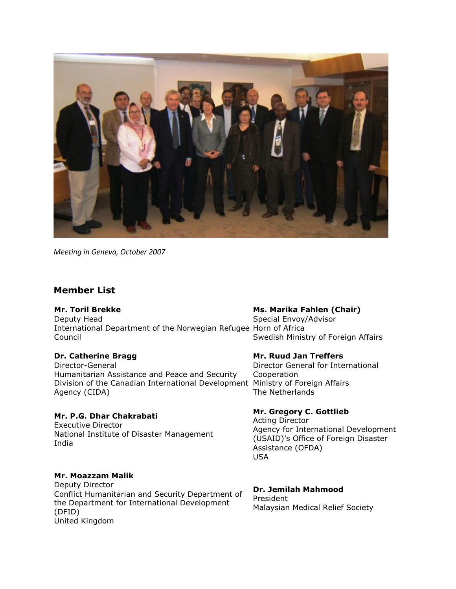

*Meeting in Geneva, October 2007*

# **Member List**

#### **Mr. Toril Brekke**

Deputy Head International Department of the Norwegian Refugee Horn of Africa Council

## **Dr. Catherine Bragg**

Director-General Humanitarian Assistance and Peace and Security Division of the Canadian International Development Ministry of Foreign Affairs Agency (CIDA)

# **Mr. P.G. Dhar Chakrabati**

Executive Director National Institute of Disaster Management India

## **Mr. Moazzam Malik**

Deputy Director Conflict Humanitarian and Security Department of the Department for International Development (DFID) United Kingdom

#### **Ms. Marika Fahlen (Chair)**

Special Envoy/Advisor Swedish Ministry of Foreign Affairs

#### **Mr. Ruud Jan Treffers**

Director General for International Cooperation The Netherlands

#### **Mr. Gregory C. Gottlieb**

Acting Director Agency for International Development (USAID)'s Office of Foreign Disaster Assistance (OFDA) USA

# **Dr. Jemilah Mahmood**

President Malaysian Medical Relief Society